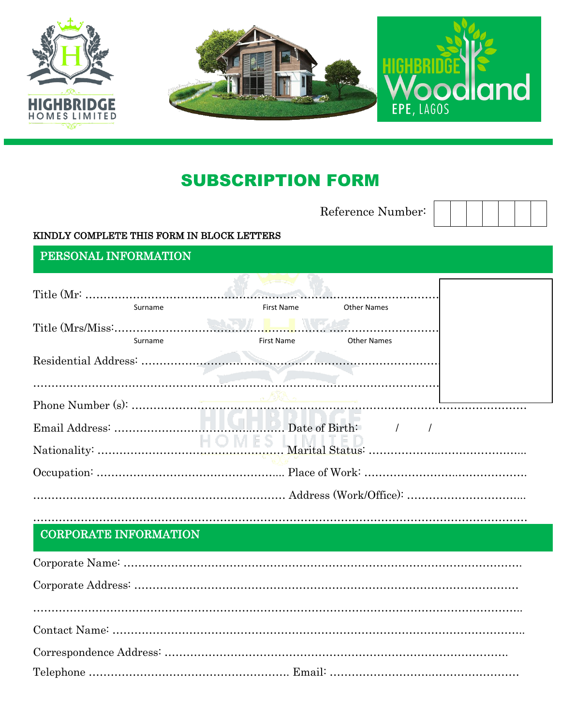

# SUBSCRIPTION FORM

Reference Number:

#### KINDLY COMPLETE THIS FORM IN BLOCK LETTERS

|  | PERSONAL INFORMATION |
|--|----------------------|
|  |                      |

| First Name<br><b>Other Names</b><br>Surname<br><b>Other Names</b><br>First Name<br>Surname |  |  |  |  |  |
|--------------------------------------------------------------------------------------------|--|--|--|--|--|
|                                                                                            |  |  |  |  |  |
|                                                                                            |  |  |  |  |  |
|                                                                                            |  |  |  |  |  |
|                                                                                            |  |  |  |  |  |
|                                                                                            |  |  |  |  |  |
|                                                                                            |  |  |  |  |  |
|                                                                                            |  |  |  |  |  |
|                                                                                            |  |  |  |  |  |
|                                                                                            |  |  |  |  |  |
|                                                                                            |  |  |  |  |  |
|                                                                                            |  |  |  |  |  |
|                                                                                            |  |  |  |  |  |

### CORPORATE INFORMATION

………………………………………………………………………………………………………………………